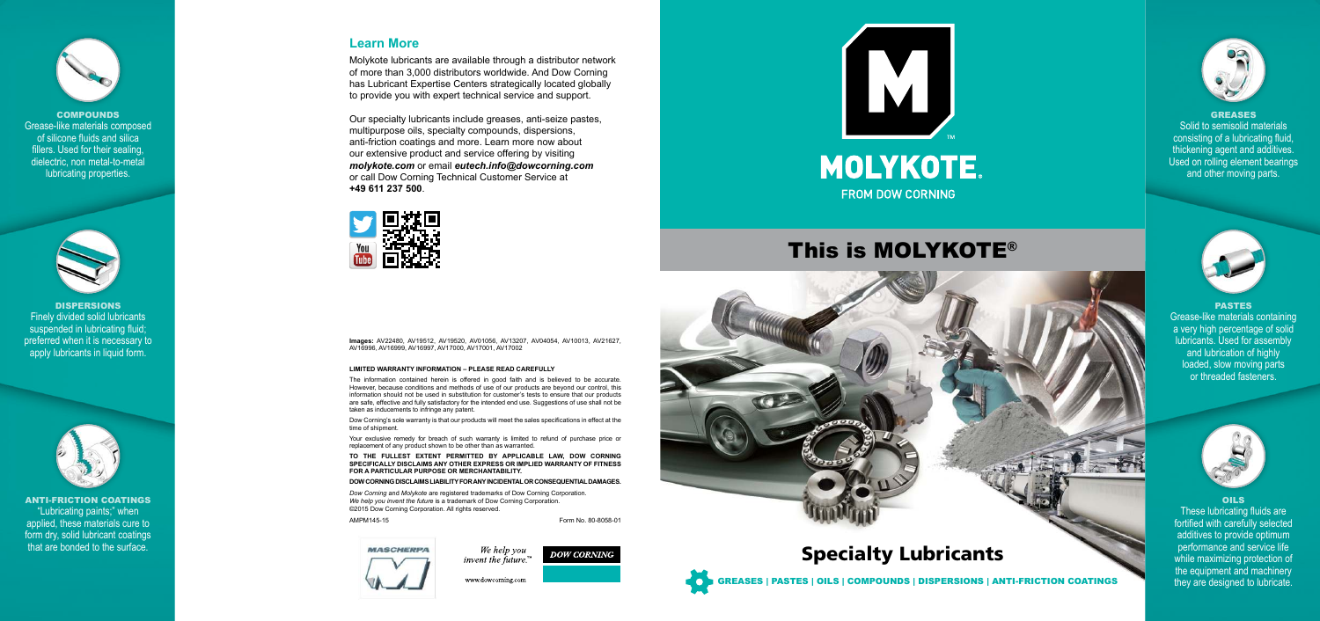## GREASES

Solid to semisolid materials consisting of a lubricating fluid, thickening agent and additives. Used on rolling element bearings and other moving parts.





### PASTES

Grease-like materials containing a very high percentage of solid lubricants. Used for assembly and lubrication of highly loaded, slow moving parts or threaded fasteners.



### OILS



**COMPOUNDS** Grease-like materials composed of silicone fluids and silica fillers. Used for their sealing, dielectric, non metal-to-metal lubricating properties.



These lubricating fluids are fortified with carefully selected additives to provide optimum performance and service life while maximizing protection of the equipment and machinery they are designed to lubricate.

DISPERSIONS Finely divided solid lubricants suspended in lubricating fluid; preferred when it is necessary to apply lubricants in liquid form.



ANTI-FRICTION COATINGS "Lubricating paints;" when applied, these materials cure to form dry, solid lubricant coatings that are bonded to the surface.

# This is MOLYKOTE®





We help you invent the future. $\mathbb{R}^m$ 

www.dowcorning.com



## **Learn More**

Molykote lubricants are available through a distributor network of more than 3,000 distributors worldwide. And Dow Corning has Lubricant Expertise Centers strategically located globally to provide you with expert technical service and support.

Our specialty lubricants include greases, anti-seize pastes, multipurpose oils, specialty compounds, dispersions, anti-friction coatings and more. Learn more now about our extensive product and service offering by visiting *molykote.com* or email *eutech.info@dowcorning.com* or call Dow Corning Technical Customer Service at **+49 611 237 500**.



**Images:** AV22480, AV19512, AV19520, AV01056, AV13207, AV04054, AV10013, AV21627, AV16996, AV16999, AV16997, AV17000, AV17001, AV17002

#### **LIMITED WARRANTY INFORMATION – PLEASE READ CAREFULLY**

The information contained herein is offered in good faith and is believed to be accurate. However, because conditions and methods of use of our products are beyond our control, this information should not be used in substitution for customer's tests to ensure that our products are safe, effective and fully satisfactory for the intended end use. Suggestions of use shall not be taken as inducements to infringe any patent.

Dow Corning's sole warranty is that our products will meet the sales specifications in effect at the time of shipment.

Your exclusive remedy for breach of such warranty is limited to refund of purchase price or replacement of any product shown to be other than as warranted.

**TO THE FULLEST EXTENT PERMITTED BY APPLICABLE LAW, DOW CORNING SPECIFICALLY DISCLAIMS ANY OTHER EXPRESS OR IMPLIED WARRANTY OF FITNESS FOR A PARTICULAR PURPOSE OR MERCHANTABILITY.** 

#### **DOW CORNING DISCLAIMS LIABILITY FOR ANY INCIDENTAL OR CONSEQUENTIAL DAMAGES.**

*Dow Corning* and *Molykote* are registered trademarks of Dow Corning Corporation. *We help you invent the future* is a trademark of Dow Corning Corporation. ©2015 Dow Corning Corporation. All rights reserved.

AMPM145-15 **Form No. 80-8058-01** 

**DOW CORNING** 



## Specialty Lubricants